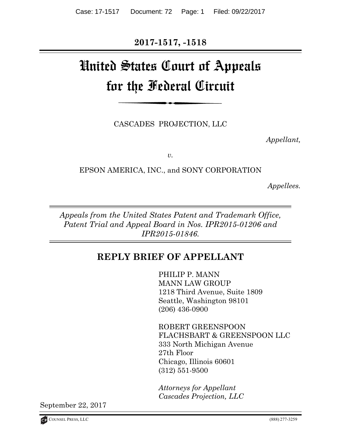**2017-1517, -1518** 

# United States Court of Appeals for the Federal Circuit

CASCADES PROJECTION, LLC

 *Appellant,* 

*v.* 

EPSON AMERICA, INC., and SONY CORPORATION

*Appellees.* 

*Appeals from the United States Patent and Trademark Office, Patent Trial and Appeal Board in Nos. IPR2015-01206 and IPR2015-01846.* 

# **REPLY BRIEF OF APPELLANT**

PHILIP P. MANN MANN LAW GROUP 1218 Third Avenue, Suite 1809 Seattle, Washington 98101 (206) 436-0900

ROBERT GREENSPOON FLACHSBART & GREENSPOON LLC 333 North Michigan Avenue 27th Floor Chicago, Illinois 60601 (312) 551-9500

*Attorneys for Appellant Cascades Projection, LLC*

September 22, 2017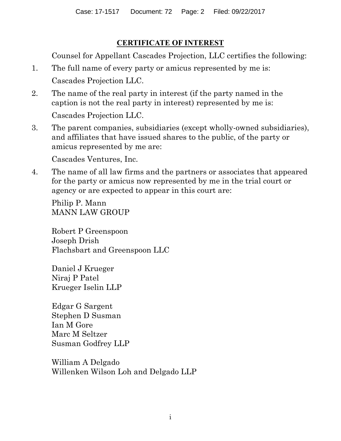## **CERTIFICATE OF INTEREST**

Counsel for Appellant Cascades Projection, LLC certifies the following:

- 1. The full name of every party or amicus represented by me is: Cascades Projection LLC.
- 2. The name of the real party in interest (if the party named in the caption is not the real party in interest) represented by me is: Cascades Projection LLC.
- 3. The parent companies, subsidiaries (except wholly-owned subsidiaries), and affiliates that have issued shares to the public, of the party or amicus represented by me are:

Cascades Ventures, Inc.

4. The name of all law firms and the partners or associates that appeared for the party or amicus now represented by me in the trial court or agency or are expected to appear in this court are:

Philip P. Mann MANN LAW GROUP

Robert P Greenspoon Joseph Drish Flachsbart and Greenspoon LLC

Daniel J Krueger Niraj P Patel Krueger Iselin LLP

Edgar G Sargent Stephen D Susman Ian M Gore Marc M Seltzer Susman Godfrey LLP

William A Delgado Willenken Wilson Loh and Delgado LLP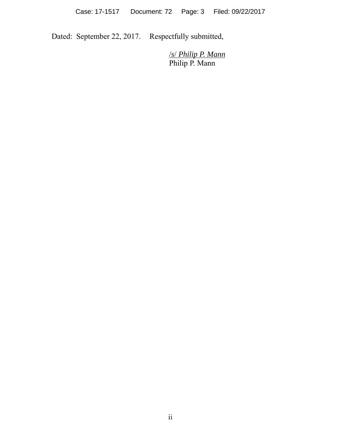Dated: September 22, 2017. Respectfully submitted,

 /*s*/ *Philip P. Mann* Philip P. Mann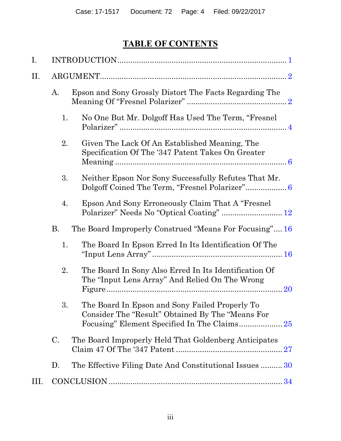# **TABLE OF CONTENTS**

| I.   |           |                                                                                                                      |  |  |  |
|------|-----------|----------------------------------------------------------------------------------------------------------------------|--|--|--|
| П.   |           |                                                                                                                      |  |  |  |
|      | A.        | Epson and Sony Grossly Distort The Facts Regarding The                                                               |  |  |  |
|      | 1.        | No One But Mr. Dolgoff Has Used The Term, "Fresnel"                                                                  |  |  |  |
|      | 2.        | Given The Lack Of An Established Meaning, The<br>Specification Of The '347 Patent Takes On Greater                   |  |  |  |
|      | 3.        | Neither Epson Nor Sony Successfully Refutes That Mr.                                                                 |  |  |  |
|      | 4.        | Epson And Sony Erroneously Claim That A "Fresnel"                                                                    |  |  |  |
|      | <b>B.</b> | The Board Improperly Construed "Means For Focusing" 16                                                               |  |  |  |
|      | 1.        | The Board In Epson Erred In Its Identification Of The                                                                |  |  |  |
|      | 2.        | The Board In Sony Also Erred In Its Identification Of<br>The "Input Lens Array" And Relied On The Wrong<br><b>20</b> |  |  |  |
|      | 3.        | The Board In Epson and Sony Failed Properly To<br>Consider The "Result" Obtained By The "Means For                   |  |  |  |
|      | C.        | The Board Improperly Held That Goldenberg Anticipates                                                                |  |  |  |
|      | D.        | The Effective Filing Date And Constitutional Issues  30                                                              |  |  |  |
| III. |           |                                                                                                                      |  |  |  |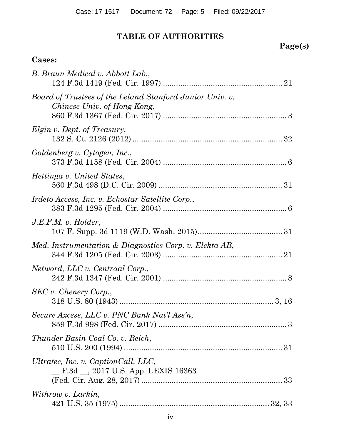# **TABLE OF AUTHORITIES**

# **Page(s)**

## **Cases:**

| B. Braun Medical v. Abbott Lab.,                                                        |
|-----------------------------------------------------------------------------------------|
| Board of Trustees of the Leland Stanford Junior Univ. v.<br>Chinese Univ. of Hong Kong, |
| Elgin v. Dept. of Treasury,                                                             |
| Goldenberg v. Cytogen, Inc.,                                                            |
| <i>Hettinga v. United States,</i>                                                       |
| Irdeto Access, Inc. v. Echostar Satellite Corp.,                                        |
| $J.E.F.M. v.$ Holder,                                                                   |
| Med. Instrumentation & Diagnostics Corp. v. Elekta AB,                                  |
| Netword, LLC v. Centraal Corp.,                                                         |
| SEC v. Chenery Corp.,                                                                   |
| Secure Axcess, LLC v. PNC Bank Nat'l Ass'n,                                             |
| Thunder Basin Coal Co. v. Reich,                                                        |
| Ultratec, Inc. v. CaptionCall, LLC,<br>E.3d __, 2017 U.S. App. LEXIS 16363              |
| Withrow v. Larkin,                                                                      |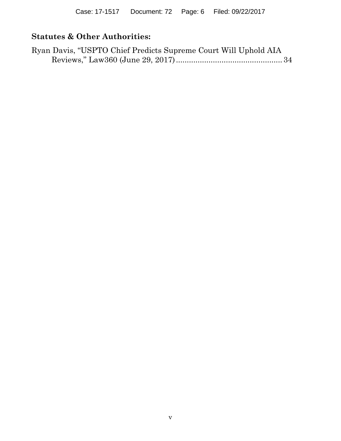# **Statutes & Other Authorities:**

| Ryan Davis, "USPTO Chief Predicts Supreme Court Will Uphold AIA |  |  |
|-----------------------------------------------------------------|--|--|
|                                                                 |  |  |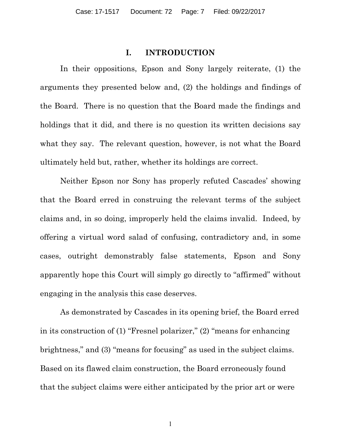#### **I. INTRODUCTION**

<span id="page-6-0"></span>In their oppositions, Epson and Sony largely reiterate, (1) the arguments they presented below and, (2) the holdings and findings of the Board. There is no question that the Board made the findings and holdings that it did, and there is no question its written decisions say what they say. The relevant question, however, is not what the Board ultimately held but, rather, whether its holdings are correct.

Neither Epson nor Sony has properly refuted Cascades' showing that the Board erred in construing the relevant terms of the subject claims and, in so doing, improperly held the claims invalid. Indeed, by offering a virtual word salad of confusing, contradictory and, in some cases, outright demonstrably false statements, Epson and Sony apparently hope this Court will simply go directly to "affirmed" without engaging in the analysis this case deserves.

As demonstrated by Cascades in its opening brief, the Board erred in its construction of (1) "Fresnel polarizer," (2) "means for enhancing brightness," and (3) "means for focusing" as used in the subject claims. Based on its flawed claim construction, the Board erroneously found that the subject claims were either anticipated by the prior art or were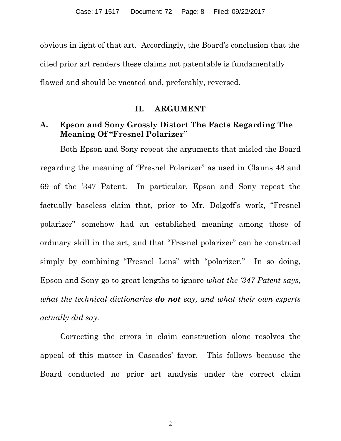<span id="page-7-0"></span>obvious in light of that art. Accordingly, the Board's conclusion that the cited prior art renders these claims not patentable is fundamentally flawed and should be vacated and, preferably, reversed.

#### **II. ARGUMENT**

#### **A. Epson and Sony Grossly Distort The Facts Regarding The Meaning Of "Fresnel Polarizer"**

Both Epson and Sony repeat the arguments that misled the Board regarding the meaning of "Fresnel Polarizer" as used in Claims 48 and 69 of the '347 Patent. In particular, Epson and Sony repeat the factually baseless claim that, prior to Mr. Dolgoff's work, "Fresnel polarizer" somehow had an established meaning among those of ordinary skill in the art, and that "Fresnel polarizer" can be construed simply by combining "Fresnel Lens" with "polarizer." In so doing, Epson and Sony go to great lengths to ignore *what the '347 Patent says, what the technical dictionaries do not say, and what their own experts actually did say.*

Correcting the errors in claim construction alone resolves the appeal of this matter in Cascades' favor. This follows because the Board conducted no prior art analysis under the correct claim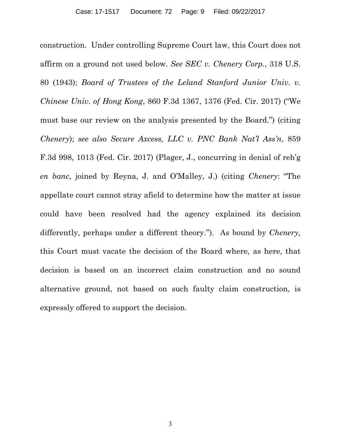construction. Under controlling Supreme Court law, this Court does not affirm on a ground not used below. *See SEC v. Chenery Corp.*, 318 U.S. 80 (1943); *Board of Trustees of the Leland Stanford Junior Univ. v. Chinese Univ. of Hong Kong*, 860 F.3d 1367, 1376 (Fed. Cir. 2017) ("We must base our review on the analysis presented by the Board.") (citing *Chenery*); *see also Secure Axcess, LLC v. PNC Bank Nat'l Ass'n*, 859 F.3d 998, 1013 (Fed. Cir. 2017) (Plager, J., concurring in denial of reh'g *en banc*, joined by Reyna, J. and O'Malley, J.) (citing *Chenery*: "The appellate court cannot stray afield to determine how the matter at issue could have been resolved had the agency explained its decision differently, perhaps under a different theory."). As bound by *Chenery,*  this Court must vacate the decision of the Board where, as here, that decision is based on an incorrect claim construction and no sound alternative ground, not based on such faulty claim construction, is expressly offered to support the decision.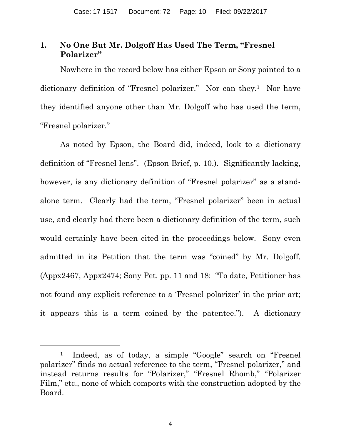## <span id="page-9-0"></span>**1. No One But Mr. Dolgoff Has Used The Term, "Fresnel Polarizer"**

Nowhere in the record below has either Epson or Sony pointed to a dictionary definition of "Fresnel polarizer." Nor can they.1 Nor have they identified anyone other than Mr. Dolgoff who has used the term, "Fresnel polarizer."

As noted by Epson, the Board did, indeed, look to a dictionary definition of "Fresnel lens". (Epson Brief, p. 10.). Significantly lacking, however, is any dictionary definition of "Fresnel polarizer" as a standalone term. Clearly had the term, "Fresnel polarizer" been in actual use, and clearly had there been a dictionary definition of the term, such would certainly have been cited in the proceedings below. Sony even admitted in its Petition that the term was "coined" by Mr. Dolgoff. (Appx2467, Appx2474; Sony Pet. pp. 11 and 18: "To date, Petitioner has not found any explicit reference to a 'Fresnel polarizer' in the prior art; it appears this is a term coined by the patentee."). A dictionary

 $\overline{a}$ 

<sup>1</sup> Indeed, as of today, a simple "Google" search on "Fresnel polarizer" finds no actual reference to the term, "Fresnel polarizer," and instead returns results for "Polarizer," "Fresnel Rhomb," "Polarizer Film," etc., none of which comports with the construction adopted by the Board.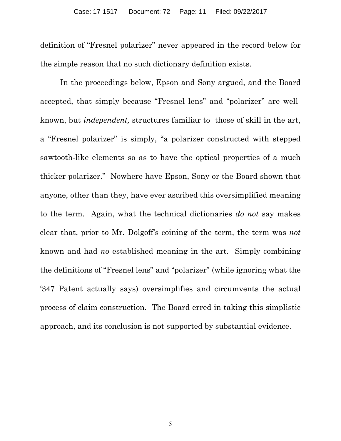definition of "Fresnel polarizer" never appeared in the record below for the simple reason that no such dictionary definition exists.

In the proceedings below, Epson and Sony argued, and the Board accepted, that simply because "Fresnel lens" and "polarizer" are wellknown, but *independent,* structures familiar to those of skill in the art, a "Fresnel polarizer" is simply, "a polarizer constructed with stepped sawtooth-like elements so as to have the optical properties of a much thicker polarizer." Nowhere have Epson, Sony or the Board shown that anyone, other than they, have ever ascribed this oversimplified meaning to the term. Again, what the technical dictionaries *do not* say makes clear that, prior to Mr. Dolgoff's coining of the term, the term was *not* known and had *no* established meaning in the art. Simply combining the definitions of "Fresnel lens" and "polarizer" (while ignoring what the '347 Patent actually says) oversimplifies and circumvents the actual process of claim construction. The Board erred in taking this simplistic approach, and its conclusion is not supported by substantial evidence.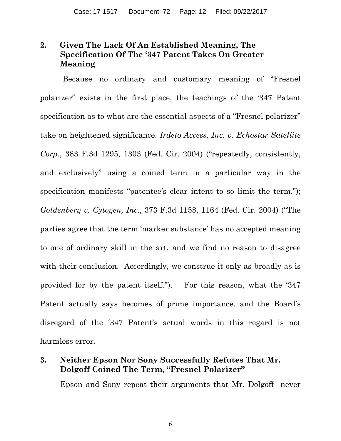## <span id="page-11-0"></span>**2. Given The Lack Of An Established Meaning, The Specification Of The '347 Patent Takes On Greater Meaning**

Because no ordinary and customary meaning of "Fresnel polarizer" exists in the first place, the teachings of the '347 Patent specification as to what are the essential aspects of a "Fresnel polarizer" take on heightened significance. *Irdeto Access, Inc. v. Echostar Satellite Corp.*, 383 F.3d 1295, 1303 (Fed. Cir. 2004) ("repeatedly, consistently, and exclusively" using a coined term in a particular way in the specification manifests "patentee's clear intent to so limit the term."); *Goldenberg v. Cytogen, Inc.*, 373 F.3d 1158, 1164 (Fed. Cir. 2004) ("The parties agree that the term 'marker substance' has no accepted meaning to one of ordinary skill in the art, and we find no reason to disagree with their conclusion. Accordingly, we construe it only as broadly as is provided for by the patent itself."). For this reason, what the '347 Patent actually says becomes of prime importance, and the Board's disregard of the '347 Patent's actual words in this regard is not harmless error.

#### **3. Neither Epson Nor Sony Successfully Refutes That Mr. Dolgoff Coined The Term, "Fresnel Polarizer"**

Epson and Sony repeat their arguments that Mr. Dolgoff never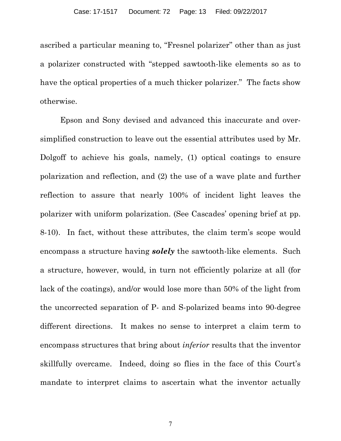ascribed a particular meaning to, "Fresnel polarizer" other than as just a polarizer constructed with "stepped sawtooth-like elements so as to have the optical properties of a much thicker polarizer." The facts show otherwise.

Epson and Sony devised and advanced this inaccurate and oversimplified construction to leave out the essential attributes used by Mr. Dolgoff to achieve his goals, namely, (1) optical coatings to ensure polarization and reflection, and (2) the use of a wave plate and further reflection to assure that nearly 100% of incident light leaves the polarizer with uniform polarization. (See Cascades' opening brief at pp. 8-10). In fact, without these attributes, the claim term's scope would encompass a structure having *solely* the sawtooth-like elements. Such a structure, however, would, in turn not efficiently polarize at all (for lack of the coatings), and/or would lose more than 50% of the light from the uncorrected separation of P- and S-polarized beams into 90-degree different directions. It makes no sense to interpret a claim term to encompass structures that bring about *inferior* results that the inventor skillfully overcame. Indeed, doing so flies in the face of this Court's mandate to interpret claims to ascertain what the inventor actually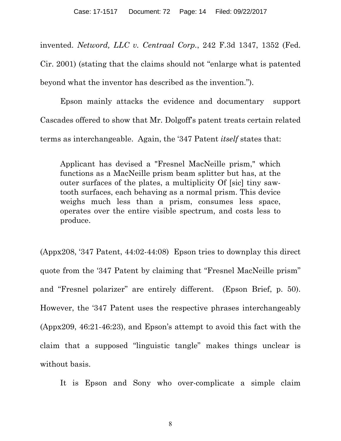invented. *Netword, LLC v. Centraal Corp.*, 242 F.3d 1347, 1352 (Fed. Cir. 2001) (stating that the claims should not "enlarge what is patented beyond what the inventor has described as the invention.").

Epson mainly attacks the evidence and documentary support Cascades offered to show that Mr. Dolgoff's patent treats certain related terms as interchangeable. Again, the '347 Patent *itself* states that:

Applicant has devised a "Fresnel MacNeille prism," which functions as a MacNeille prism beam splitter but has, at the outer surfaces of the plates, a multiplicity Of [sic] tiny sawtooth surfaces, each behaving as a normal prism. This device weighs much less than a prism, consumes less space, operates over the entire visible spectrum, and costs less to produce.

(Appx208, '347 Patent, 44:02-44:08) Epson tries to downplay this direct quote from the '347 Patent by claiming that "Fresnel MacNeille prism" and "Fresnel polarizer" are entirely different. (Epson Brief, p. 50). However, the '347 Patent uses the respective phrases interchangeably (Appx209, 46:21-46:23), and Epson's attempt to avoid this fact with the claim that a supposed "linguistic tangle" makes things unclear is without basis.

It is Epson and Sony who over-complicate a simple claim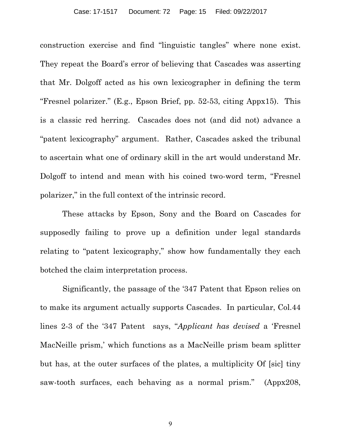construction exercise and find "linguistic tangles" where none exist. They repeat the Board's error of believing that Cascades was asserting that Mr. Dolgoff acted as his own lexicographer in defining the term "Fresnel polarizer." (E.g., Epson Brief, pp. 52-53, citing Appx15). This is a classic red herring. Cascades does not (and did not) advance a "patent lexicography" argument. Rather, Cascades asked the tribunal to ascertain what one of ordinary skill in the art would understand Mr. Dolgoff to intend and mean with his coined two-word term, "Fresnel polarizer," in the full context of the intrinsic record.

 These attacks by Epson, Sony and the Board on Cascades for supposedly failing to prove up a definition under legal standards relating to "patent lexicography," show how fundamentally they each botched the claim interpretation process.

Significantly, the passage of the '347 Patent that Epson relies on to make its argument actually supports Cascades. In particular, Col.44 lines 2-3 of the '347 Patent says, "*Applicant has devised* a 'Fresnel MacNeille prism,' which functions as a MacNeille prism beam splitter but has, at the outer surfaces of the plates, a multiplicity Of [sic] tiny saw-tooth surfaces, each behaving as a normal prism." (Appx208,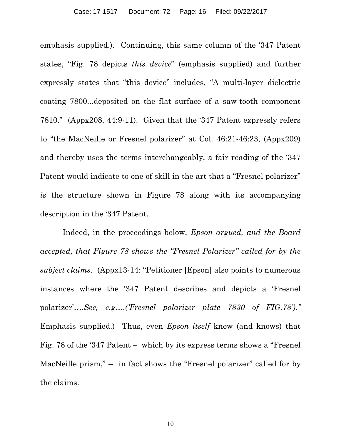emphasis supplied.). Continuing, this same column of the '347 Patent states, "Fig. 78 depicts *this device*" (emphasis supplied) and further expressly states that "this device" includes, "A multi-layer dielectric coating 7800...deposited on the flat surface of a saw-tooth component 7810." (Appx208, 44:9-11). Given that the '347 Patent expressly refers to "the MacNeille or Fresnel polarizer" at Col. 46:21-46:23, (Appx209) and thereby uses the terms interchangeably, a fair reading of the '347 Patent would indicate to one of skill in the art that a "Fresnel polarizer" *is* the structure shown in Figure 78 along with its accompanying description in the '347 Patent.

Indeed, in the proceedings below, *Epson argued, and the Board accepted, that Figure 78 shows the "Fresnel Polarizer" called for by the subject claims.* (Appx13-14: "Petitioner [Epson] also points to numerous instances where the '347 Patent describes and depicts a 'Fresnel polarizer'….*See, e.g….('Fresnel polarizer plate 7830 of FIG.78')."*  Emphasis supplied.) Thus, even *Epson itself* knew (and knows) that Fig. 78 of the '347 Patent – which by its express terms shows a "Fresnel MacNeille prism," – in fact shows the "Fresnel polarizer" called for by the claims.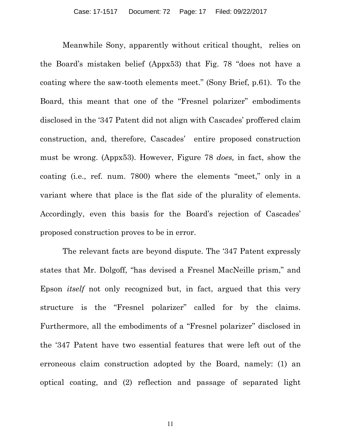Meanwhile Sony, apparently without critical thought, relies on the Board's mistaken belief (Appx53) that Fig. 78 "does not have a coating where the saw-tooth elements meet." (Sony Brief, p.61). To the Board, this meant that one of the "Fresnel polarizer" embodiments disclosed in the '347 Patent did not align with Cascades' proffered claim construction, and, therefore, Cascades' entire proposed construction must be wrong. (Appx53). However, Figure 78 *does,* in fact, show the coating (i.e., ref. num. 7800) where the elements "meet," only in a variant where that place is the flat side of the plurality of elements. Accordingly, even this basis for the Board's rejection of Cascades' proposed construction proves to be in error.

The relevant facts are beyond dispute. The '347 Patent expressly states that Mr. Dolgoff, "has devised a Fresnel MacNeille prism," and Epson *itself* not only recognized but, in fact, argued that this very structure is the "Fresnel polarizer" called for by the claims. Furthermore, all the embodiments of a "Fresnel polarizer" disclosed in the '347 Patent have two essential features that were left out of the erroneous claim construction adopted by the Board, namely: (1) an optical coating, and (2) reflection and passage of separated light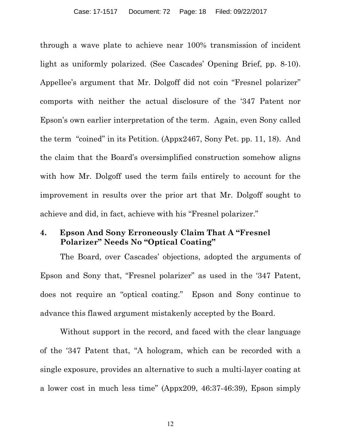<span id="page-17-0"></span>through a wave plate to achieve near 100% transmission of incident light as uniformly polarized. (See Cascades' Opening Brief, pp. 8-10). Appellee's argument that Mr. Dolgoff did not coin "Fresnel polarizer" comports with neither the actual disclosure of the '347 Patent nor Epson's own earlier interpretation of the term. Again, even Sony called the term "coined" in its Petition. (Appx2467, Sony Pet. pp. 11, 18). And the claim that the Board's oversimplified construction somehow aligns with how Mr. Dolgoff used the term fails entirely to account for the improvement in results over the prior art that Mr. Dolgoff sought to achieve and did, in fact, achieve with his "Fresnel polarizer."

#### **4. Epson And Sony Erroneously Claim That A "Fresnel Polarizer" Needs No "Optical Coating"**

The Board, over Cascades' objections, adopted the arguments of Epson and Sony that, "Fresnel polarizer" as used in the '347 Patent, does not require an "optical coating." Epson and Sony continue to advance this flawed argument mistakenly accepted by the Board.

Without support in the record, and faced with the clear language of the '347 Patent that, "A hologram, which can be recorded with a single exposure, provides an alternative to such a multi-layer coating at a lower cost in much less time" (Appx209, 46:37-46:39), Epson simply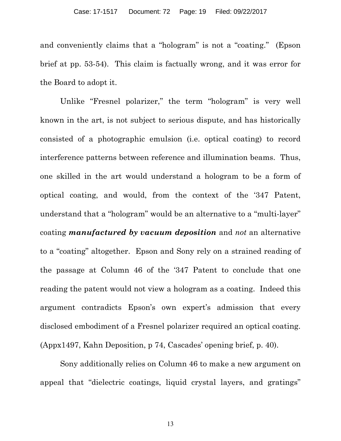and conveniently claims that a "hologram" is not a "coating." (Epson brief at pp. 53-54). This claim is factually wrong, and it was error for the Board to adopt it.

Unlike "Fresnel polarizer," the term "hologram" is very well known in the art, is not subject to serious dispute, and has historically consisted of a photographic emulsion (i.e. optical coating) to record interference patterns between reference and illumination beams. Thus, one skilled in the art would understand a hologram to be a form of optical coating, and would, from the context of the '347 Patent, understand that a "hologram" would be an alternative to a "multi-layer" coating *manufactured by vacuum deposition* and *not* an alternative to a "coating" altogether. Epson and Sony rely on a strained reading of the passage at Column 46 of the '347 Patent to conclude that one reading the patent would not view a hologram as a coating. Indeed this argument contradicts Epson's own expert's admission that every disclosed embodiment of a Fresnel polarizer required an optical coating. (Appx1497, Kahn Deposition, p 74, Cascades' opening brief, p. 40).

Sony additionally relies on Column 46 to make a new argument on appeal that "dielectric coatings, liquid crystal layers, and gratings"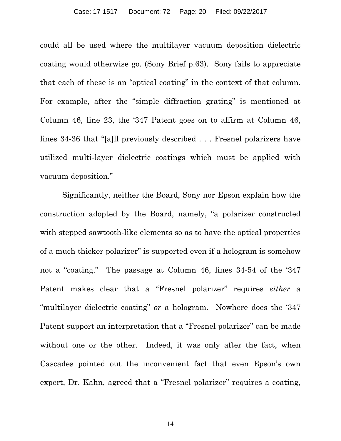could all be used where the multilayer vacuum deposition dielectric coating would otherwise go. (Sony Brief p.63). Sony fails to appreciate that each of these is an "optical coating" in the context of that column. For example, after the "simple diffraction grating" is mentioned at Column 46, line 23, the '347 Patent goes on to affirm at Column 46, lines 34-36 that "[a]ll previously described . . . Fresnel polarizers have utilized multi-layer dielectric coatings which must be applied with vacuum deposition."

 Significantly, neither the Board, Sony nor Epson explain how the construction adopted by the Board, namely, "a polarizer constructed with stepped sawtooth-like elements so as to have the optical properties of a much thicker polarizer" is supported even if a hologram is somehow not a "coating." The passage at Column 46, lines 34-54 of the '347 Patent makes clear that a "Fresnel polarizer" requires *either* a "multilayer dielectric coating" *or* a hologram. Nowhere does the '347 Patent support an interpretation that a "Fresnel polarizer" can be made without one or the other. Indeed, it was only after the fact, when Cascades pointed out the inconvenient fact that even Epson's own expert, Dr. Kahn, agreed that a "Fresnel polarizer" requires a coating,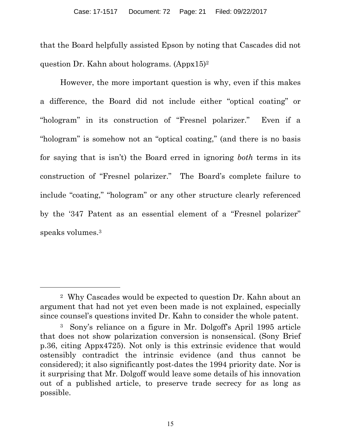that the Board helpfully assisted Epson by noting that Cascades did not question Dr. Kahn about holograms. (Appx15)2

However, the more important question is why, even if this makes a difference, the Board did not include either "optical coating" or "hologram" in its construction of "Fresnel polarizer." Even if a "hologram" is somehow not an "optical coating," (and there is no basis for saying that is isn't) the Board erred in ignoring *both* terms in its construction of "Fresnel polarizer." The Board's complete failure to include "coating," "hologram" or any other structure clearly referenced by the '347 Patent as an essential element of a "Fresnel polarizer" speaks volumes.3

 $\overline{a}$ 

<sup>2</sup> Why Cascades would be expected to question Dr. Kahn about an argument that had not yet even been made is not explained, especially since counsel's questions invited Dr. Kahn to consider the whole patent.

<sup>3</sup> Sony's reliance on a figure in Mr. Dolgoff's April 1995 article that does not show polarization conversion is nonsensical. (Sony Brief p.36, citing Appx4725). Not only is this extrinsic evidence that would ostensibly contradict the intrinsic evidence (and thus cannot be considered); it also significantly post-dates the 1994 priority date. Nor is it surprising that Mr. Dolgoff would leave some details of his innovation out of a published article, to preserve trade secrecy for as long as possible.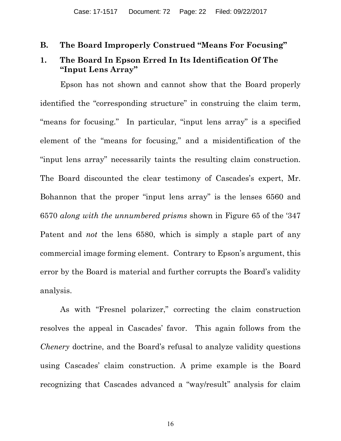#### <span id="page-21-0"></span>**B. The Board Improperly Construed "Means For Focusing"**

#### **1. The Board In Epson Erred In Its Identification Of The "Input Lens Array"**

Epson has not shown and cannot show that the Board properly identified the "corresponding structure" in construing the claim term, "means for focusing." In particular, "input lens array" is a specified element of the "means for focusing," and a misidentification of the "input lens array" necessarily taints the resulting claim construction. The Board discounted the clear testimony of Cascades's expert, Mr. Bohannon that the proper "input lens array" is the lenses 6560 and 6570 *along with the unnumbered prisms* shown in Figure 65 of the '347 Patent and *not* the lens 6580, which is simply a staple part of any commercial image forming element. Contrary to Epson's argument, this error by the Board is material and further corrupts the Board's validity analysis.

As with "Fresnel polarizer," correcting the claim construction resolves the appeal in Cascades' favor. This again follows from the *Chenery* doctrine, and the Board's refusal to analyze validity questions using Cascades' claim construction. A prime example is the Board recognizing that Cascades advanced a "way/result" analysis for claim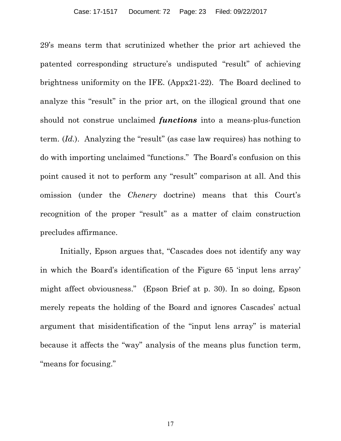29's means term that scrutinized whether the prior art achieved the patented corresponding structure's undisputed "result" of achieving brightness uniformity on the IFE. (Appx21-22). The Board declined to analyze this "result" in the prior art, on the illogical ground that one should not construe unclaimed *functions* into a means-plus-function term. (*Id.*). Analyzing the "result" (as case law requires) has nothing to do with importing unclaimed "functions." The Board's confusion on this point caused it not to perform any "result" comparison at all. And this omission (under the *Chenery* doctrine) means that this Court's recognition of the proper "result" as a matter of claim construction precludes affirmance.

Initially, Epson argues that, "Cascades does not identify any way in which the Board's identification of the Figure 65 'input lens array' might affect obviousness." (Epson Brief at p. 30). In so doing, Epson merely repeats the holding of the Board and ignores Cascades' actual argument that misidentification of the "input lens array" is material because it affects the "way" analysis of the means plus function term, "means for focusing."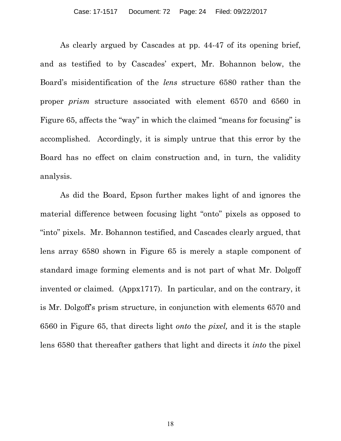As clearly argued by Cascades at pp. 44-47 of its opening brief, and as testified to by Cascades' expert, Mr. Bohannon below, the Board's misidentification of the *lens* structure 6580 rather than the proper *prism* structure associated with element 6570 and 6560 in Figure 65, affects the "way" in which the claimed "means for focusing" is accomplished. Accordingly, it is simply untrue that this error by the Board has no effect on claim construction and, in turn, the validity analysis.

As did the Board, Epson further makes light of and ignores the material difference between focusing light "onto" pixels as opposed to "into" pixels. Mr. Bohannon testified, and Cascades clearly argued, that lens array 6580 shown in Figure 65 is merely a staple component of standard image forming elements and is not part of what Mr. Dolgoff invented or claimed. (Appx1717). In particular, and on the contrary, it is Mr. Dolgoff's prism structure, in conjunction with elements 6570 and 6560 in Figure 65, that directs light *onto* the *pixel,* and it is the staple lens 6580 that thereafter gathers that light and directs it *into* the pixel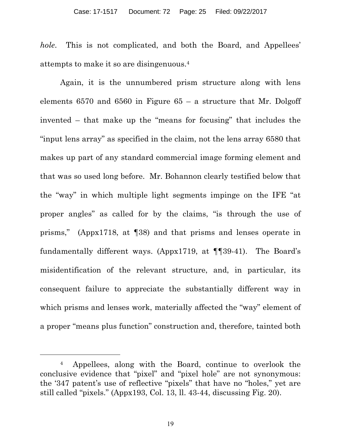*hole*. This is not complicated, and both the Board, and Appellees' attempts to make it so are disingenuous.4

Again, it is the unnumbered prism structure along with lens elements  $6570$  and  $6560$  in Figure  $65 - a$  structure that Mr. Dolgoff invented – that make up the "means for focusing" that includes the "input lens array" as specified in the claim, not the lens array 6580 that makes up part of any standard commercial image forming element and that was so used long before. Mr. Bohannon clearly testified below that the "way" in which multiple light segments impinge on the IFE "at proper angles" as called for by the claims, "is through the use of prisms," (Appx1718, at ¶38) and that prisms and lenses operate in fundamentally different ways. (Appx1719, at ¶¶39-41). The Board's misidentification of the relevant structure, and, in particular, its consequent failure to appreciate the substantially different way in which prisms and lenses work, materially affected the "way" element of a proper "means plus function" construction and, therefore, tainted both

 $\overline{a}$ 

<sup>4</sup> Appellees, along with the Board, continue to overlook the conclusive evidence that "pixel" and "pixel hole" are not synonymous: the '347 patent's use of reflective "pixels" that have no "holes," yet are still called "pixels." (Appx193, Col. 13, ll. 43-44, discussing Fig. 20).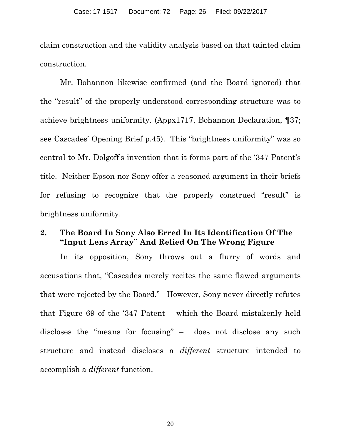<span id="page-25-0"></span>claim construction and the validity analysis based on that tainted claim construction.

Mr. Bohannon likewise confirmed (and the Board ignored) that the "result" of the properly-understood corresponding structure was to achieve brightness uniformity. (Appx1717, Bohannon Declaration, ¶37; see Cascades' Opening Brief p.45). This "brightness uniformity" was so central to Mr. Dolgoff's invention that it forms part of the '347 Patent's title. Neither Epson nor Sony offer a reasoned argument in their briefs for refusing to recognize that the properly construed "result" is brightness uniformity.

#### **2. The Board In Sony Also Erred In Its Identification Of The "Input Lens Array" And Relied On The Wrong Figure**

In its opposition, Sony throws out a flurry of words and accusations that, "Cascades merely recites the same flawed arguments that were rejected by the Board." However, Sony never directly refutes that Figure 69 of the '347 Patent – which the Board mistakenly held discloses the "means for focusing" – does not disclose any such structure and instead discloses a *different* structure intended to accomplish a *different* function.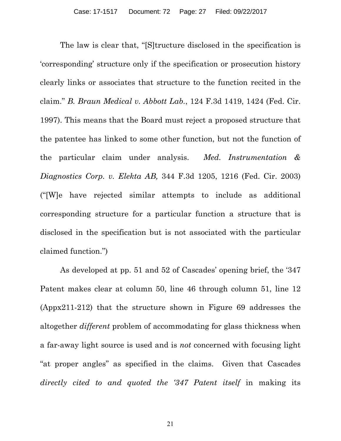The law is clear that, "[S]tructure disclosed in the specification is 'corresponding' structure only if the specification or prosecution history clearly links or associates that structure to the function recited in the claim." *B. Braun Medical v. Abbott Lab.*, 124 F.3d 1419, 1424 (Fed. Cir. 1997). This means that the Board must reject a proposed structure that the patentee has linked to some other function, but not the function of the particular claim under analysis. *Med. Instrumentation & Diagnostics Corp. v. Elekta AB,* 344 F.3d 1205, 1216 (Fed. Cir. 2003) ("[W]e have rejected similar attempts to include as additional corresponding structure for a particular function a structure that is disclosed in the specification but is not associated with the particular claimed function.")

As developed at pp. 51 and 52 of Cascades' opening brief, the '347 Patent makes clear at column 50, line 46 through column 51, line 12 (Appx211-212) that the structure shown in Figure 69 addresses the altogether *different* problem of accommodating for glass thickness when a far-away light source is used and is *not* concerned with focusing light "at proper angles" as specified in the claims. Given that Cascades *directly cited to and quoted the '347 Patent itself* in making its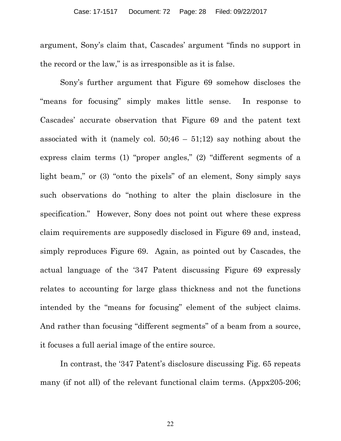argument, Sony's claim that, Cascades' argument "finds no support in the record or the law," is as irresponsible as it is false.

Sony's further argument that Figure 69 somehow discloses the "means for focusing" simply makes little sense. In response to Cascades' accurate observation that Figure 69 and the patent text associated with it (namely col.  $50;46 - 51;12$ ) say nothing about the express claim terms (1) "proper angles," (2) "different segments of a light beam," or (3) "onto the pixels" of an element, Sony simply says such observations do "nothing to alter the plain disclosure in the specification." However, Sony does not point out where these express claim requirements are supposedly disclosed in Figure 69 and, instead, simply reproduces Figure 69. Again, as pointed out by Cascades, the actual language of the '347 Patent discussing Figure 69 expressly relates to accounting for large glass thickness and not the functions intended by the "means for focusing" element of the subject claims. And rather than focusing "different segments" of a beam from a source, it focuses a full aerial image of the entire source.

In contrast, the '347 Patent's disclosure discussing Fig. 65 repeats many (if not all) of the relevant functional claim terms. (Appx205-206;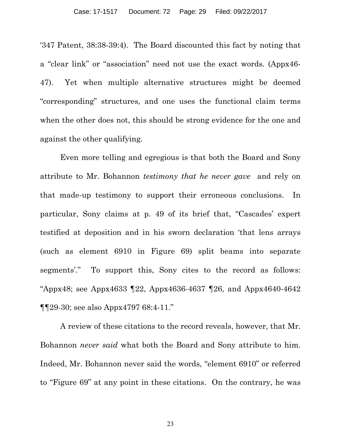'347 Patent, 38:38-39:4). The Board discounted this fact by noting that a "clear link" or "association" need not use the exact words. (Appx46- 47). Yet when multiple alternative structures might be deemed "corresponding" structures, and one uses the functional claim terms when the other does not, this should be strong evidence for the one and against the other qualifying.

Even more telling and egregious is that both the Board and Sony attribute to Mr. Bohannon *testimony that he never gave* and rely on that made-up testimony to support their erroneous conclusions. In particular, Sony claims at p. 49 of its brief that, "Cascades' expert testified at deposition and in his sworn declaration 'that lens arrays (such as element 6910 in Figure 69) split beams into separate segments'." To support this, Sony cites to the record as follows: "Appx48; see Appx4633 ¶22, Appx4636-4637 ¶26, and Appx4640-4642 ¶¶29-30; see also Appx4797 68:4-11."

A review of these citations to the record reveals, however, that Mr. Bohannon *never said* what both the Board and Sony attribute to him. Indeed, Mr. Bohannon never said the words, "element 6910" or referred to "Figure 69" at any point in these citations. On the contrary, he was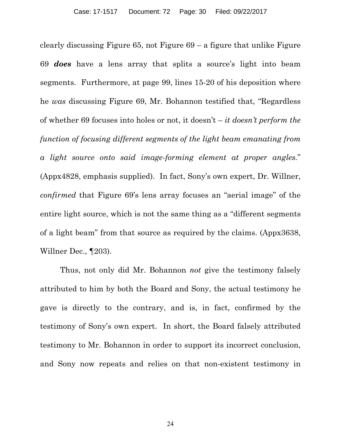clearly discussing Figure  $65$ , not Figure  $69 - a$  figure that unlike Figure 69 *does* have a lens array that splits a source's light into beam segments. Furthermore, at page 99, lines 15-20 of his deposition where he *was* discussing Figure 69, Mr. Bohannon testified that, "Regardless of whether 69 focuses into holes or not, it doesn't – *it doesn't perform the function of focusing different segments of the light beam emanating from a light source onto said image-forming element at proper angles.*" (Appx4828, emphasis supplied). In fact, Sony's own expert, Dr. Willner, *confirmed* that Figure 69's lens array focuses an "aerial image" of the entire light source, which is not the same thing as a "different segments of a light beam" from that source as required by the claims. (Appx3638, Willner Dec., ¶203).

Thus, not only did Mr. Bohannon *not* give the testimony falsely attributed to him by both the Board and Sony, the actual testimony he gave is directly to the contrary, and is, in fact, confirmed by the testimony of Sony's own expert. In short, the Board falsely attributed testimony to Mr. Bohannon in order to support its incorrect conclusion, and Sony now repeats and relies on that non-existent testimony in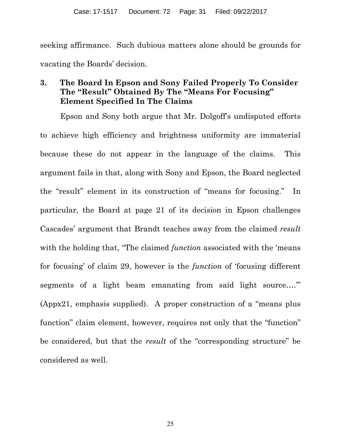<span id="page-30-0"></span>seeking affirmance. Such dubious matters alone should be grounds for vacating the Boards' decision.

## **3. The Board In Epson and Sony Failed Properly To Consider The "Result" Obtained By The "Means For Focusing" Element Specified In The Claims**

Epson and Sony both argue that Mr. Dolgoff's undisputed efforts to achieve high efficiency and brightness uniformity are immaterial because these do not appear in the language of the claims. This argument fails in that, along with Sony and Epson, the Board neglected the "result" element in its construction of "means for focusing." In particular, the Board at page 21 of its decision in Epson challenges Cascades' argument that Brandt teaches away from the claimed *result* with the holding that, "The claimed *function* associated with the 'means' for focusing' of claim 29, however is the *function* of 'focusing different segments of a light beam emanating from said light source...." (Appx21, emphasis supplied). A proper construction of a "means plus function" claim element, however, requires not only that the "function" be considered, but that the *result* of the "corresponding structure" be considered as well.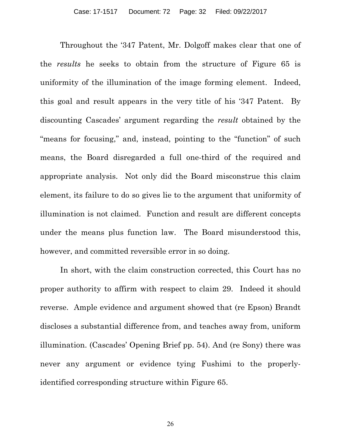Throughout the '347 Patent, Mr. Dolgoff makes clear that one of the *results* he seeks to obtain from the structure of Figure 65 is uniformity of the illumination of the image forming element. Indeed, this goal and result appears in the very title of his '347 Patent. By discounting Cascades' argument regarding the *result* obtained by the "means for focusing," and, instead, pointing to the "function" of such means, the Board disregarded a full one-third of the required and appropriate analysis. Not only did the Board misconstrue this claim element, its failure to do so gives lie to the argument that uniformity of illumination is not claimed. Function and result are different concepts under the means plus function law. The Board misunderstood this, however, and committed reversible error in so doing.

In short, with the claim construction corrected, this Court has no proper authority to affirm with respect to claim 29. Indeed it should reverse. Ample evidence and argument showed that (re Epson) Brandt discloses a substantial difference from, and teaches away from, uniform illumination. (Cascades' Opening Brief pp. 54). And (re Sony) there was never any argument or evidence tying Fushimi to the properlyidentified corresponding structure within Figure 65.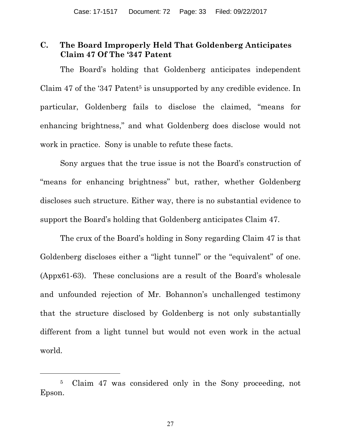## <span id="page-32-0"></span>**C. The Board Improperly Held That Goldenberg Anticipates Claim 47 Of The '347 Patent**

The Board's holding that Goldenberg anticipates independent Claim 47 of the '347 Patent<sup>5</sup> is unsupported by any credible evidence. In particular, Goldenberg fails to disclose the claimed, "means for enhancing brightness," and what Goldenberg does disclose would not work in practice. Sony is unable to refute these facts.

Sony argues that the true issue is not the Board's construction of "means for enhancing brightness" but, rather, whether Goldenberg discloses such structure. Either way, there is no substantial evidence to support the Board's holding that Goldenberg anticipates Claim 47.

The crux of the Board's holding in Sony regarding Claim 47 is that Goldenberg discloses either a "light tunnel" or the "equivalent" of one. (Appx61-63). These conclusions are a result of the Board's wholesale and unfounded rejection of Mr. Bohannon's unchallenged testimony that the structure disclosed by Goldenberg is not only substantially different from a light tunnel but would not even work in the actual world.

 $\overline{a}$ 

<sup>5</sup> Claim 47 was considered only in the Sony proceeding, not Epson.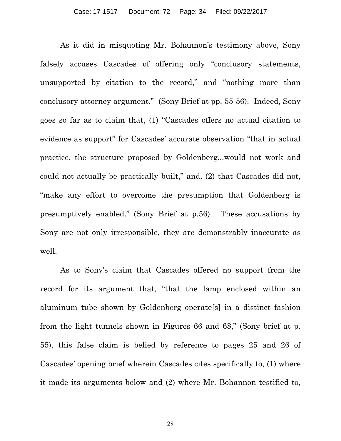As it did in misquoting Mr. Bohannon's testimony above, Sony falsely accuses Cascades of offering only "conclusory statements, unsupported by citation to the record," and "nothing more than conclusory attorney argument." (Sony Brief at pp. 55-56). Indeed, Sony goes so far as to claim that, (1) "Cascades offers no actual citation to evidence as support" for Cascades' accurate observation "that in actual practice, the structure proposed by Goldenberg...would not work and could not actually be practically built," and, (2) that Cascades did not, "make any effort to overcome the presumption that Goldenberg is presumptively enabled." (Sony Brief at p.56). These accusations by Sony are not only irresponsible, they are demonstrably inaccurate as well.

As to Sony's claim that Cascades offered no support from the record for its argument that, "that the lamp enclosed within an aluminum tube shown by Goldenberg operate[s] in a distinct fashion from the light tunnels shown in Figures 66 and 68," (Sony brief at p. 55), this false claim is belied by reference to pages 25 and 26 of Cascades' opening brief wherein Cascades cites specifically to, (1) where it made its arguments below and (2) where Mr. Bohannon testified to,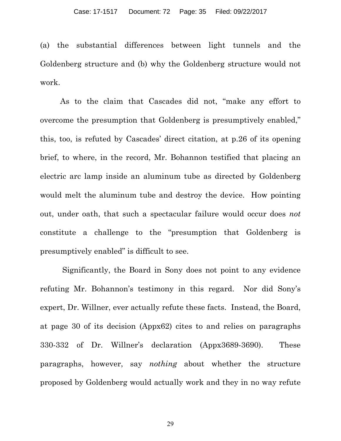(a) the substantial differences between light tunnels and the Goldenberg structure and (b) why the Goldenberg structure would not work.

As to the claim that Cascades did not, "make any effort to overcome the presumption that Goldenberg is presumptively enabled," this, too, is refuted by Cascades' direct citation, at p.26 of its opening brief, to where, in the record, Mr. Bohannon testified that placing an electric arc lamp inside an aluminum tube as directed by Goldenberg would melt the aluminum tube and destroy the device. How pointing out, under oath, that such a spectacular failure would occur does *not* constitute a challenge to the "presumption that Goldenberg is presumptively enabled" is difficult to see.

 Significantly, the Board in Sony does not point to any evidence refuting Mr. Bohannon's testimony in this regard. Nor did Sony's expert, Dr. Willner, ever actually refute these facts. Instead, the Board, at page 30 of its decision (Appx62) cites to and relies on paragraphs 330-332 of Dr. Willner's declaration (Appx3689-3690). These paragraphs, however, say *nothing* about whether the structure proposed by Goldenberg would actually work and they in no way refute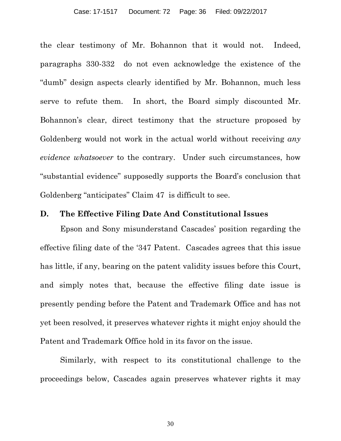<span id="page-35-0"></span>the clear testimony of Mr. Bohannon that it would not. Indeed, paragraphs 330-332 do not even acknowledge the existence of the "dumb" design aspects clearly identified by Mr. Bohannon, much less serve to refute them. In short, the Board simply discounted Mr. Bohannon's clear, direct testimony that the structure proposed by Goldenberg would not work in the actual world without receiving *any evidence whatsoever* to the contrary. Under such circumstances, how "substantial evidence" supposedly supports the Board's conclusion that Goldenberg "anticipates" Claim 47 is difficult to see.

#### **D. The Effective Filing Date And Constitutional Issues**

Epson and Sony misunderstand Cascades' position regarding the effective filing date of the '347 Patent. Cascades agrees that this issue has little, if any, bearing on the patent validity issues before this Court, and simply notes that, because the effective filing date issue is presently pending before the Patent and Trademark Office and has not yet been resolved, it preserves whatever rights it might enjoy should the Patent and Trademark Office hold in its favor on the issue.

Similarly, with respect to its constitutional challenge to the proceedings below, Cascades again preserves whatever rights it may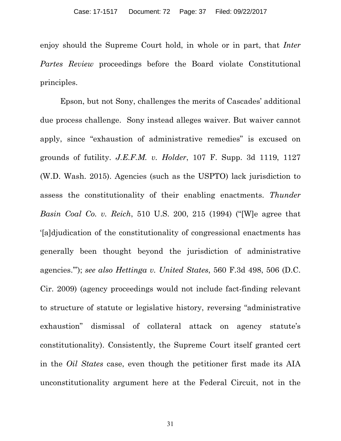enjoy should the Supreme Court hold, in whole or in part, that *Inter Partes Review* proceedings before the Board violate Constitutional principles.

Epson, but not Sony, challenges the merits of Cascades' additional due process challenge. Sony instead alleges waiver. But waiver cannot apply, since "exhaustion of administrative remedies" is excused on grounds of futility. *J.E.F.M. v. Holder*, 107 F. Supp. 3d 1119, 1127 (W.D. Wash. 2015). Agencies (such as the USPTO) lack jurisdiction to assess the constitutionality of their enabling enactments. *Thunder Basin Coal Co. v. Reich*, 510 U.S. 200, 215 (1994) ("[W]e agree that '[a]djudication of the constitutionality of congressional enactments has generally been thought beyond the jurisdiction of administrative agencies.'"); *see also Hettinga v. United States*, 560 F.3d 498, 506 (D.C. Cir. 2009) (agency proceedings would not include fact-finding relevant to structure of statute or legislative history, reversing "administrative exhaustion" dismissal of collateral attack on agency statute's constitutionality). Consistently, the Supreme Court itself granted cert in the *Oil States* case, even though the petitioner first made its AIA unconstitutionality argument here at the Federal Circuit, not in the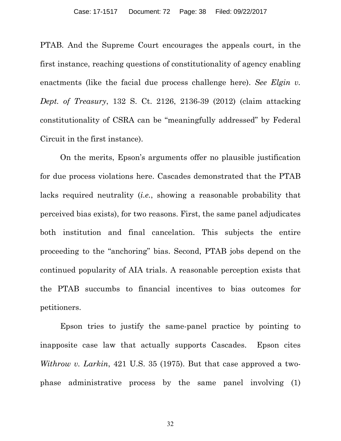PTAB. And the Supreme Court encourages the appeals court, in the first instance, reaching questions of constitutionality of agency enabling enactments (like the facial due process challenge here). *See Elgin v. Dept. of Treasury*, 132 S. Ct. 2126, 2136-39 (2012) (claim attacking constitutionality of CSRA can be "meaningfully addressed" by Federal Circuit in the first instance).

On the merits, Epson's arguments offer no plausible justification for due process violations here. Cascades demonstrated that the PTAB lacks required neutrality (*i.e.*, showing a reasonable probability that perceived bias exists), for two reasons. First, the same panel adjudicates both institution and final cancelation. This subjects the entire proceeding to the "anchoring" bias. Second, PTAB jobs depend on the continued popularity of AIA trials. A reasonable perception exists that the PTAB succumbs to financial incentives to bias outcomes for petitioners.

Epson tries to justify the same-panel practice by pointing to inapposite case law that actually supports Cascades. Epson cites *Withrow v. Larkin*, 421 U.S. 35 (1975). But that case approved a twophase administrative process by the same panel involving (1)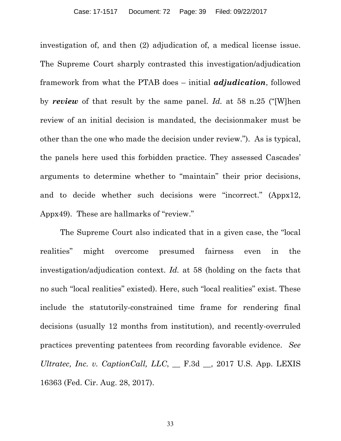investigation of, and then (2) adjudication of, a medical license issue. The Supreme Court sharply contrasted this investigation/adjudication framework from what the PTAB does – initial *adjudication*, followed by *review* of that result by the same panel. *Id.* at 58 n.25 ("[W]hen review of an initial decision is mandated, the decisionmaker must be other than the one who made the decision under review."). As is typical, the panels here used this forbidden practice. They assessed Cascades' arguments to determine whether to "maintain" their prior decisions, and to decide whether such decisions were "incorrect." (Appx12, Appx49). These are hallmarks of "review."

The Supreme Court also indicated that in a given case, the "local realities" might overcome presumed fairness even in the investigation/adjudication context. *Id.* at 58 (holding on the facts that no such "local realities" existed). Here, such "local realities" exist. These include the statutorily-constrained time frame for rendering final decisions (usually 12 months from institution), and recently-overruled practices preventing patentees from recording favorable evidence. *See Ultratec, Inc. v. CaptionCall, LLC*, \_\_ F.3d \_\_, 2017 U.S. App. LEXIS 16363 (Fed. Cir. Aug. 28, 2017).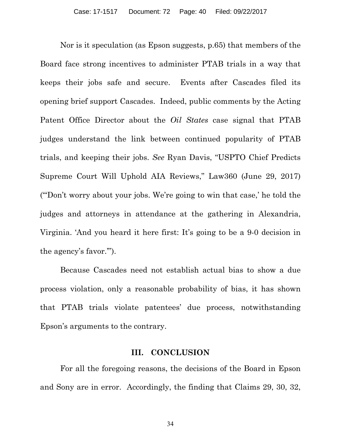<span id="page-39-0"></span>Nor is it speculation (as Epson suggests, p.65) that members of the Board face strong incentives to administer PTAB trials in a way that keeps their jobs safe and secure. Events after Cascades filed its opening brief support Cascades. Indeed, public comments by the Acting Patent Office Director about the *Oil States* case signal that PTAB judges understand the link between continued popularity of PTAB trials, and keeping their jobs. *See* Ryan Davis, "USPTO Chief Predicts Supreme Court Will Uphold AIA Reviews," Law360 (June 29, 2017) ("'Don't worry about your jobs. We're going to win that case,' he told the judges and attorneys in attendance at the gathering in Alexandria, Virginia. 'And you heard it here first: It's going to be a 9-0 decision in the agency's favor.'").

Because Cascades need not establish actual bias to show a due process violation, only a reasonable probability of bias, it has shown that PTAB trials violate patentees' due process, notwithstanding Epson's arguments to the contrary.

#### **III. CONCLUSION**

For all the foregoing reasons, the decisions of the Board in Epson and Sony are in error. Accordingly, the finding that Claims 29, 30, 32,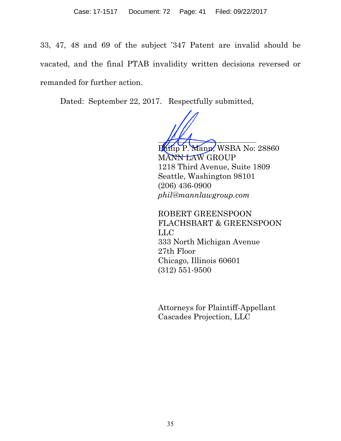33, 47, 48 and 69 of the subject '347 Patent are invalid should be vacated, and the final PTAB invalidity written decisions reversed or remanded for further action.

Dated: September 22, 2017. Respectfully submitted,

Mann, WSBA No: 28860 MANN LAW GROUP 1218 Third Avenue, Suite 1809 Seattle, Washington 98101 (206) 436-0900 *phil@mannlawgroup.com*

 ROBERT GREENSPOON FLACHSBART & GREENSPOON LLC 333 North Michigan Avenue 27th Floor Chicago, Illinois 60601 (312) 551-9500

 Attorneys for Plaintiff-Appellant Cascades Projection, LLC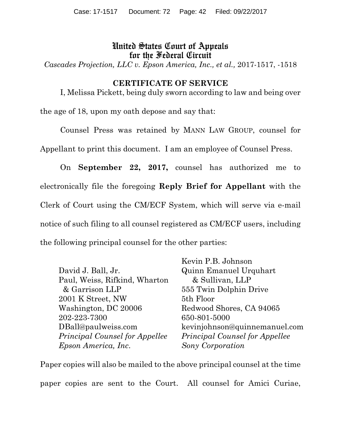## United States Court of Appeals for the Federal Circuit

*Cascades Projection, LLC v. Epson America, Inc., et al.,* 2017-1517, -1518

#### **CERTIFICATE OF SERVICE**

I, Melissa Pickett, being duly sworn according to law and being over

the age of 18, upon my oath depose and say that:

 Counsel Press was retained by MANN LAW GROUP, counsel for Appellant to print this document. I am an employee of Counsel Press.

On **September 22, 2017,** counsel has authorized me to electronically file the foregoing **Reply Brief for Appellant** with the Clerk of Court using the CM/ECF System, which will serve via e-mail notice of such filing to all counsel registered as CM/ECF users, including the following principal counsel for the other parties:

|                                       | Kevin P.B. Johnson                    |
|---------------------------------------|---------------------------------------|
| David J. Ball, Jr.                    | Quinn Emanuel Urquhart                |
| Paul, Weiss, Rifkind, Wharton         | & Sullivan, LLP                       |
| & Garrison LLP                        | 555 Twin Dolphin Drive                |
| 2001 K Street, NW                     | 5th Floor                             |
| Washington, DC 20006                  | Redwood Shores, CA 94065              |
| 202-223-7300                          | 650-801-5000                          |
| DBall@paulweiss.com                   | kevinjohnson@quinnemanuel.com         |
| <i>Principal Counsel for Appellee</i> | <i>Principal Counsel for Appellee</i> |
| Epson America, Inc.                   | Sony Corporation                      |

Paper copies will also be mailed to the above principal counsel at the time paper copies are sent to the Court. All counsel for Amici Curiae,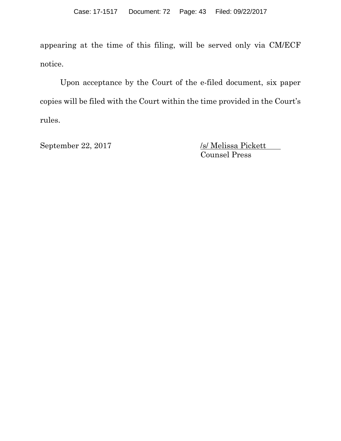appearing at the time of this filing, will be served only via CM/ECF notice.

 Upon acceptance by the Court of the e-filed document, six paper copies will be filed with the Court within the time provided in the Court's rules.

September 22, 2017 /s/ Melissa Pickett Counsel Press